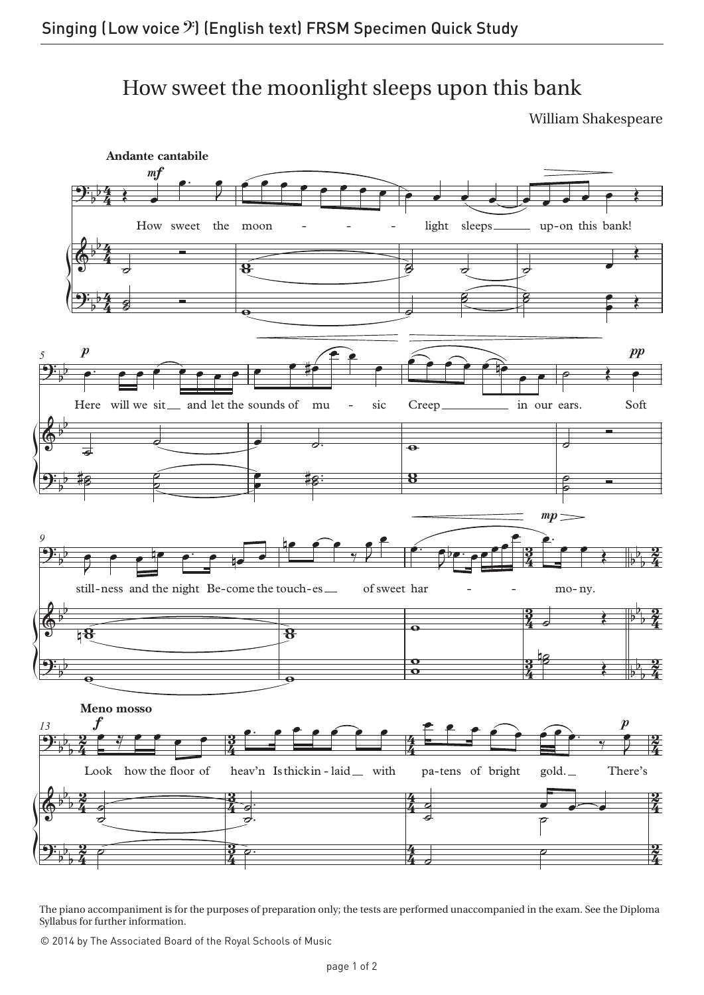## How sweet the moonlight sleeps upon this bank

William Shakespeare



The piano accompaniment is for the purposes of preparation only; the tests are performed unaccompanied in the exam. See the Diploma Syllabus for further information.

© 2014 by The Associated Board of the Royal Schools of Music